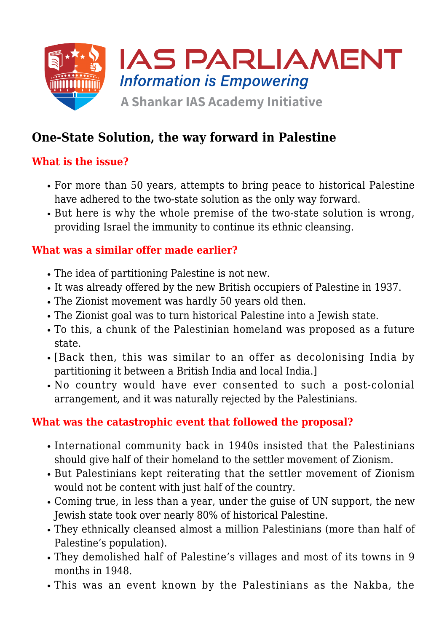

# **One-State Solution, the way forward in Palestine**

### **What is the issue?**

- For more than 50 years, attempts to bring peace to historical Palestine have adhered to the two-state solution as the only way forward.
- But here is why the whole premise of the two-state solution is wrong, providing Israel the immunity to continue its ethnic cleansing.

#### **What was a similar offer made earlier?**

- The idea of partitioning Palestine is not new.
- It was already offered by the new British occupiers of Palestine in 1937.
- The Zionist movement was hardly 50 years old then.
- The Zionist goal was to turn historical Palestine into a Jewish state.
- To this, a chunk of the Palestinian homeland was proposed as a future state.
- [Back then, this was similar to an offer as decolonising India by partitioning it between a British India and local India.]
- No country would have ever consented to such a post-colonial arrangement, and it was naturally rejected by the Palestinians.

### **What was the catastrophic event that followed the proposal?**

- International community back in 1940s insisted that the Palestinians should give half of their homeland to the settler movement of Zionism.
- But Palestinians kept reiterating that the settler movement of Zionism would not be content with just half of the country.
- Coming true, in less than a year, under the guise of UN support, the new Jewish state took over nearly 80% of historical Palestine.
- They ethnically cleansed almost a million Palestinians (more than half of Palestine's population).
- They demolished half of Palestine's villages and most of its towns in 9 months in 1948.
- This was an event known by the Palestinians as the Nakba, the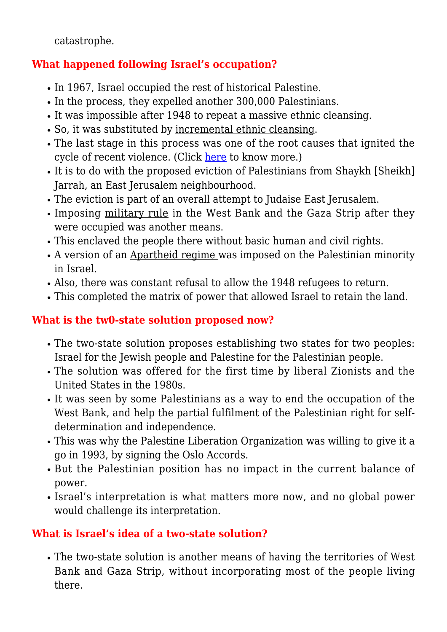catastrophe.

## **What happened following Israel's occupation?**

- In 1967, Israel occupied the rest of historical Palestine.
- In the process, they expelled another 300,000 Palestinians.
- It was impossible after 1948 to repeat a massive ethnic cleansing.
- So, it was substituted by incremental ethnic cleansing.
- The last stage in this process was one of the root causes that ignited the cycle of recent violence. (Click [here](https://www.iasparliament.com/current-affairs/clashes-at-jerusalems-al-aqsa-israel-palestine-conflict) to know more.)
- It is to do with the proposed eviction of Palestinians from Shaykh [Sheikh] Jarrah, an East Jerusalem neighbourhood.
- The eviction is part of an overall attempt to Judaise East Jerusalem.
- Imposing military rule in the West Bank and the Gaza Strip after they were occupied was another means.
- This enclaved the people there without basic human and civil rights.
- A version of an Apartheid regime was imposed on the Palestinian minority in Israel.
- Also, there was constant refusal to allow the 1948 refugees to return.
- This completed the matrix of power that allowed Israel to retain the land.

## **What is the tw0-state solution proposed now?**

- The two-state solution proposes establishing two states for two peoples: Israel for the Jewish people and Palestine for the Palestinian people.
- The solution was offered for the first time by liberal Zionists and the United States in the 1980s.
- It was seen by some Palestinians as a way to end the occupation of the West Bank, and help the partial fulfilment of the Palestinian right for selfdetermination and independence.
- This was why the Palestine Liberation Organization was willing to give it a go in 1993, by signing the Oslo Accords.
- But the Palestinian position has no impact in the current balance of power.
- Israel's interpretation is what matters more now, and no global power would challenge its interpretation.

## **What is Israel's idea of a two-state solution?**

The two-state solution is another means of having the territories of West Bank and Gaza Strip, without incorporating most of the people living there.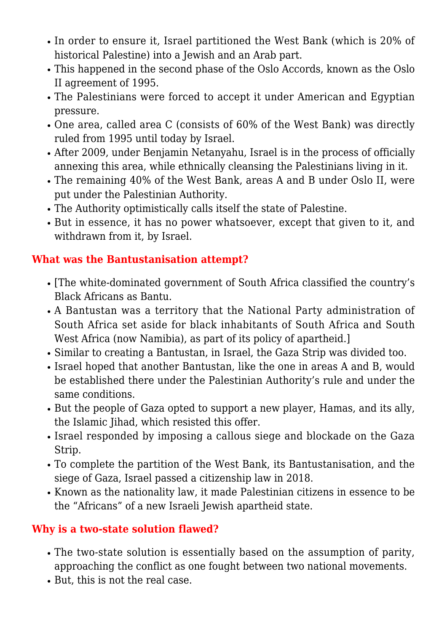- In order to ensure it, Israel partitioned the West Bank (which is 20% of historical Palestine) into a Jewish and an Arab part.
- This happened in the second phase of the Oslo Accords, known as the Oslo II agreement of 1995.
- The Palestinians were forced to accept it under American and Egyptian pressure.
- One area, called area C (consists of 60% of the West Bank) was directly ruled from 1995 until today by Israel.
- After 2009, under Benjamin Netanyahu, Israel is in the process of officially annexing this area, while ethnically cleansing the Palestinians living in it.
- The remaining 40% of the West Bank, areas A and B under Oslo II, were put under the Palestinian Authority.
- The Authority optimistically calls itself the state of Palestine.
- But in essence, it has no power whatsoever, except that given to it, and withdrawn from it, by Israel.

### **What was the Bantustanisation attempt?**

- [The white-dominated government of South Africa classified the country's Black Africans as Bantu.
- A Bantustan was a territory that the National Party administration of South Africa set aside for black inhabitants of South Africa and South West Africa (now Namibia), as part of its policy of apartheid.]
- Similar to creating a Bantustan, in Israel, the Gaza Strip was divided too.
- Israel hoped that another Bantustan, like the one in areas A and B, would be established there under the Palestinian Authority's rule and under the same conditions.
- But the people of Gaza opted to support a new player, Hamas, and its ally, the Islamic Jihad, which resisted this offer.
- Israel responded by imposing a callous siege and blockade on the Gaza Strip.
- To complete the partition of the West Bank, its Bantustanisation, and the siege of Gaza, Israel passed a citizenship law in 2018.
- Known as the nationality law, it made Palestinian citizens in essence to be the "Africans" of a new Israeli Jewish apartheid state.

### **Why is a two-state solution flawed?**

- The two-state solution is essentially based on the assumption of parity, approaching the conflict as one fought between two national movements.
- But, this is not the real case.